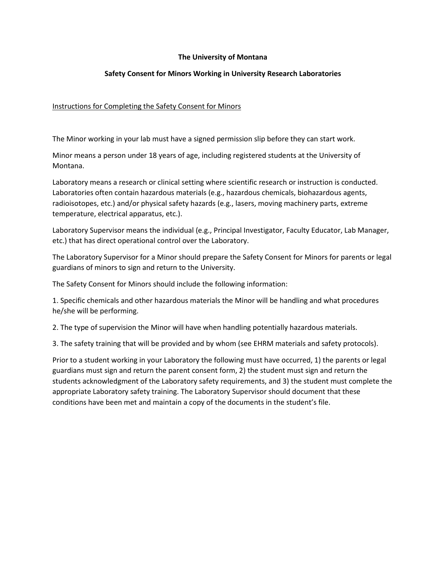## **The University of Montana**

# **Safety Consent for Minors Working in University Research Laboratories**

# Instructions for Completing the Safety Consent for Minors

The Minor working in your lab must have a signed permission slip before they can start work.

Minor means a person under 18 years of age, including registered students at the University of Montana.

Laboratory means a research or clinical setting where scientific research or instruction is conducted. Laboratories often contain hazardous materials (e.g., hazardous chemicals, biohazardous agents, radioisotopes, etc.) and/or physical safety hazards (e.g., lasers, moving machinery parts, extreme temperature, electrical apparatus, etc.).

Laboratory Supervisor means the individual (e.g., Principal Investigator, Faculty Educator, Lab Manager, etc.) that has direct operational control over the Laboratory.

The Laboratory Supervisor for a Minor should prepare the Safety Consent for Minors for parents or legal guardians of minors to sign and return to the University.

The Safety Consent for Minors should include the following information:

1. Specific chemicals and other hazardous materials the Minor will be handling and what procedures he/she will be performing.

2. The type of supervision the Minor will have when handling potentially hazardous materials.

3. The safety training that will be provided and by whom (see EHRM materials and safety protocols).

Prior to a student working in your Laboratory the following must have occurred, 1) the parents or legal guardians must sign and return the parent consent form, 2) the student must sign and return the students acknowledgment of the Laboratory safety requirements, and 3) the student must complete the appropriate Laboratory safety training. The Laboratory Supervisor should document that these conditions have been met and maintain a copy of the documents in the student's file.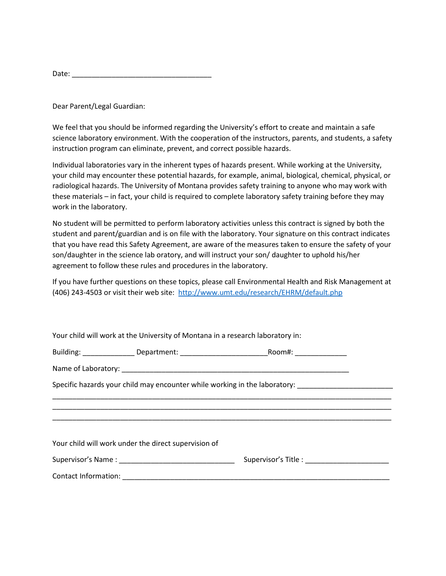| Date: |  |
|-------|--|
|       |  |

Dear Parent/Legal Guardian:

We feel that you should be informed regarding the University's effort to create and maintain a safe science laboratory environment. With the cooperation of the instructors, parents, and students, a safety instruction program can eliminate, prevent, and correct possible hazards.

Individual laboratories vary in the inherent types of hazards present. While working at the University, your child may encounter these potential hazards, for example, animal, biological, chemical, physical, or radiological hazards. The University of Montana provides safety training to anyone who may work with these materials – in fact, your child is required to complete laboratory safety training before they may work in the laboratory.

No student will be permitted to perform laboratory activities unless this contract is signed by both the student and parent/guardian and is on file with the laboratory. Your signature on this contract indicates that you have read this Safety Agreement, are aware of the measures taken to ensure the safety of your son/daughter in the science lab oratory, and will instruct your son/ daughter to uphold his/her agreement to follow these rules and procedures in the laboratory.

If you have further questions on these topics, please call Environmental Health and Risk Management at (406) 243-4503 or visit their web site:<http://www.umt.edu/research/EHRM/default.php>

\_\_\_\_\_\_\_\_\_\_\_\_\_\_\_\_\_\_\_\_\_\_\_\_\_\_\_\_\_\_\_\_\_\_\_\_\_\_\_\_\_\_\_\_\_\_\_\_\_\_\_\_\_\_\_\_\_\_\_\_\_\_\_\_\_\_\_\_\_\_\_\_\_\_\_\_\_\_\_\_\_\_\_\_\_ \_\_\_\_\_\_\_\_\_\_\_\_\_\_\_\_\_\_\_\_\_\_\_\_\_\_\_\_\_\_\_\_\_\_\_\_\_\_\_\_\_\_\_\_\_\_\_\_\_\_\_\_\_\_\_\_\_\_\_\_\_\_\_\_\_\_\_\_\_\_\_\_\_\_\_\_\_\_\_\_\_\_\_\_\_ \_\_\_\_\_\_\_\_\_\_\_\_\_\_\_\_\_\_\_\_\_\_\_\_\_\_\_\_\_\_\_\_\_\_\_\_\_\_\_\_\_\_\_\_\_\_\_\_\_\_\_\_\_\_\_\_\_\_\_\_\_\_\_\_\_\_\_\_\_\_\_\_\_\_\_\_\_\_\_\_\_\_\_\_\_

|  | Your child will work at the University of Montana in a research laboratory in: |
|--|--------------------------------------------------------------------------------|
|--|--------------------------------------------------------------------------------|

| Building: | Department: | Room# |
|-----------|-------------|-------|
|           |             |       |

Name of Laboratory: \_\_\_\_\_\_\_\_\_\_\_\_\_\_\_\_\_\_\_\_\_\_\_\_\_\_\_\_\_\_\_\_\_\_\_\_\_\_\_\_\_\_\_\_\_\_\_\_\_\_\_\_\_\_\_\_\_

Specific hazards your child may encounter while working in the laboratory:

Supervisor's Name : \_\_\_\_\_\_\_\_\_\_\_\_\_\_\_\_\_\_\_\_\_\_\_\_\_\_\_\_\_ Supervisor's Title : \_\_\_\_\_\_\_\_\_\_\_\_\_\_\_\_\_\_\_\_\_

Contact Information: \_\_\_\_\_\_\_\_\_\_\_\_\_\_\_\_\_\_\_\_\_\_\_\_\_\_\_\_\_\_\_\_\_\_\_\_\_\_\_\_\_\_\_\_\_\_\_\_\_\_\_\_\_\_\_\_\_\_\_\_\_\_\_\_\_\_\_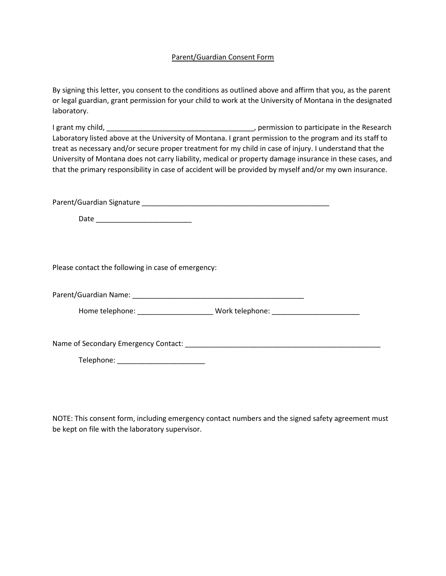### Parent/Guardian Consent Form

By signing this letter, you consent to the conditions as outlined above and affirm that you, as the parent or legal guardian, grant permission for your child to work at the University of Montana in the designated laboratory.

I grant my child, \_\_\_\_\_\_\_\_\_\_\_\_\_\_\_\_\_\_\_\_\_\_\_\_\_\_\_\_\_\_\_\_\_\_\_\_\_, permission to participate in the Research Laboratory listed above at the University of Montana. I grant permission to the program and its staff to treat as necessary and/or secure proper treatment for my child in case of injury. I understand that the University of Montana does not carry liability, medical or property damage insurance in these cases, and that the primary responsibility in case of accident will be provided by myself and/or my own insurance.

Parent/Guardian Signature \_\_\_\_\_\_\_\_\_\_\_\_\_\_\_\_\_\_\_\_\_\_\_\_\_\_\_\_\_\_\_\_\_\_\_\_\_\_\_\_\_\_\_\_\_\_\_

Date \_\_\_\_\_\_\_\_\_\_\_\_\_\_\_\_\_\_\_\_\_\_\_\_

Please contact the following in case of emergency:

Parent/Guardian Name: \_\_\_\_\_\_\_\_\_\_\_\_\_\_\_\_\_\_\_\_\_\_\_\_\_\_\_\_\_\_\_\_\_\_\_\_\_\_\_\_\_\_\_

Home telephone: \_\_\_\_\_\_\_\_\_\_\_\_\_\_\_\_\_\_\_\_\_\_\_\_\_ Work telephone: \_\_\_\_\_\_\_\_\_\_\_\_\_\_\_\_\_\_\_\_\_\_

Name of Secondary Emergency Contact: \_\_\_\_\_\_\_\_\_\_\_\_\_\_\_\_\_\_\_\_\_\_\_\_\_\_\_\_\_\_\_\_\_\_\_\_\_\_\_\_\_\_\_\_\_\_\_\_\_

Telephone: \_\_\_\_\_\_\_\_\_\_\_\_\_\_\_\_\_\_\_\_\_\_

NOTE: This consent form, including emergency contact numbers and the signed safety agreement must be kept on file with the laboratory supervisor.